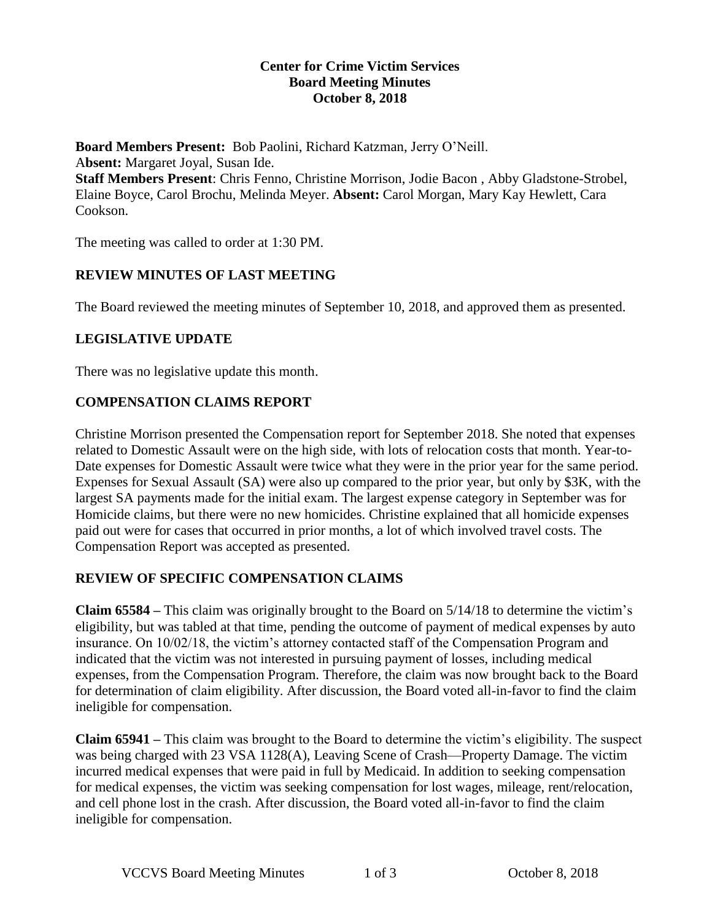#### **Center for Crime Victim Services Board Meeting Minutes October 8, 2018**

**Board Members Present:** Bob Paolini, Richard Katzman, Jerry O'Neill. A**bsent:** Margaret Joyal, Susan Ide. **Staff Members Present**: Chris Fenno, Christine Morrison, Jodie Bacon , Abby Gladstone-Strobel, Elaine Boyce, Carol Brochu, Melinda Meyer. **Absent:** Carol Morgan, Mary Kay Hewlett, Cara Cookson.

The meeting was called to order at 1:30 PM.

# **REVIEW MINUTES OF LAST MEETING**

The Board reviewed the meeting minutes of September 10, 2018, and approved them as presented.

# **LEGISLATIVE UPDATE**

There was no legislative update this month.

# **COMPENSATION CLAIMS REPORT**

Christine Morrison presented the Compensation report for September 2018. She noted that expenses related to Domestic Assault were on the high side, with lots of relocation costs that month. Year-to-Date expenses for Domestic Assault were twice what they were in the prior year for the same period. Expenses for Sexual Assault (SA) were also up compared to the prior year, but only by \$3K, with the largest SA payments made for the initial exam. The largest expense category in September was for Homicide claims, but there were no new homicides. Christine explained that all homicide expenses paid out were for cases that occurred in prior months, a lot of which involved travel costs. The Compensation Report was accepted as presented.

## **REVIEW OF SPECIFIC COMPENSATION CLAIMS**

**Claim 65584 –** This claim was originally brought to the Board on 5/14/18 to determine the victim's eligibility, but was tabled at that time, pending the outcome of payment of medical expenses by auto insurance. On 10/02/18, the victim's attorney contacted staff of the Compensation Program and indicated that the victim was not interested in pursuing payment of losses, including medical expenses, from the Compensation Program. Therefore, the claim was now brought back to the Board for determination of claim eligibility. After discussion, the Board voted all-in-favor to find the claim ineligible for compensation.

**Claim 65941 –** This claim was brought to the Board to determine the victim's eligibility. The suspect was being charged with 23 VSA 1128(A), Leaving Scene of Crash—Property Damage. The victim incurred medical expenses that were paid in full by Medicaid. In addition to seeking compensation for medical expenses, the victim was seeking compensation for lost wages, mileage, rent/relocation, and cell phone lost in the crash. After discussion, the Board voted all-in-favor to find the claim ineligible for compensation.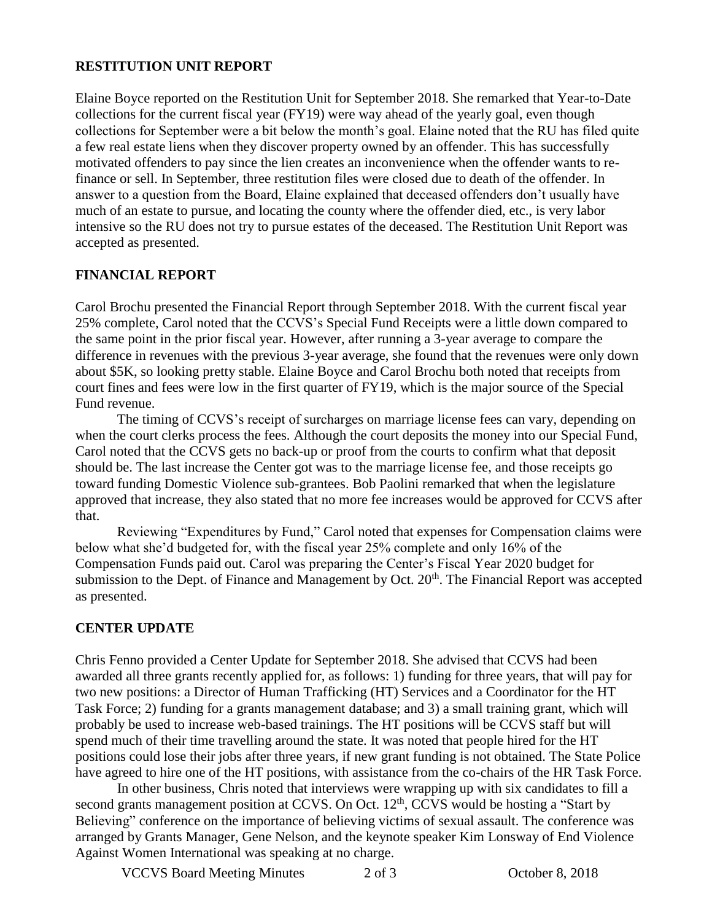#### **RESTITUTION UNIT REPORT**

Elaine Boyce reported on the Restitution Unit for September 2018. She remarked that Year-to-Date collections for the current fiscal year (FY19) were way ahead of the yearly goal, even though collections for September were a bit below the month's goal. Elaine noted that the RU has filed quite a few real estate liens when they discover property owned by an offender. This has successfully motivated offenders to pay since the lien creates an inconvenience when the offender wants to refinance or sell. In September, three restitution files were closed due to death of the offender. In answer to a question from the Board, Elaine explained that deceased offenders don't usually have much of an estate to pursue, and locating the county where the offender died, etc., is very labor intensive so the RU does not try to pursue estates of the deceased. The Restitution Unit Report was accepted as presented.

## **FINANCIAL REPORT**

Carol Brochu presented the Financial Report through September 2018. With the current fiscal year 25% complete, Carol noted that the CCVS's Special Fund Receipts were a little down compared to the same point in the prior fiscal year. However, after running a 3-year average to compare the difference in revenues with the previous 3-year average, she found that the revenues were only down about \$5K, so looking pretty stable. Elaine Boyce and Carol Brochu both noted that receipts from court fines and fees were low in the first quarter of FY19, which is the major source of the Special Fund revenue.

The timing of CCVS's receipt of surcharges on marriage license fees can vary, depending on when the court clerks process the fees. Although the court deposits the money into our Special Fund, Carol noted that the CCVS gets no back-up or proof from the courts to confirm what that deposit should be. The last increase the Center got was to the marriage license fee, and those receipts go toward funding Domestic Violence sub-grantees. Bob Paolini remarked that when the legislature approved that increase, they also stated that no more fee increases would be approved for CCVS after that.

Reviewing "Expenditures by Fund," Carol noted that expenses for Compensation claims were below what she'd budgeted for, with the fiscal year 25% complete and only 16% of the Compensation Funds paid out. Carol was preparing the Center's Fiscal Year 2020 budget for submission to the Dept. of Finance and Management by Oct. 20<sup>th</sup>. The Financial Report was accepted as presented.

## **CENTER UPDATE**

Chris Fenno provided a Center Update for September 2018. She advised that CCVS had been awarded all three grants recently applied for, as follows: 1) funding for three years, that will pay for two new positions: a Director of Human Trafficking (HT) Services and a Coordinator for the HT Task Force; 2) funding for a grants management database; and 3) a small training grant, which will probably be used to increase web-based trainings. The HT positions will be CCVS staff but will spend much of their time travelling around the state. It was noted that people hired for the HT positions could lose their jobs after three years, if new grant funding is not obtained. The State Police have agreed to hire one of the HT positions, with assistance from the co-chairs of the HR Task Force.

 In other business, Chris noted that interviews were wrapping up with six candidates to fill a second grants management position at CCVS. On Oct.  $12<sup>th</sup>$ , CCVS would be hosting a "Start by Believing" conference on the importance of believing victims of sexual assault. The conference was arranged by Grants Manager, Gene Nelson, and the keynote speaker Kim Lonsway of End Violence Against Women International was speaking at no charge.

VCCVS Board Meeting Minutes 2 of 3 October 8, 2018